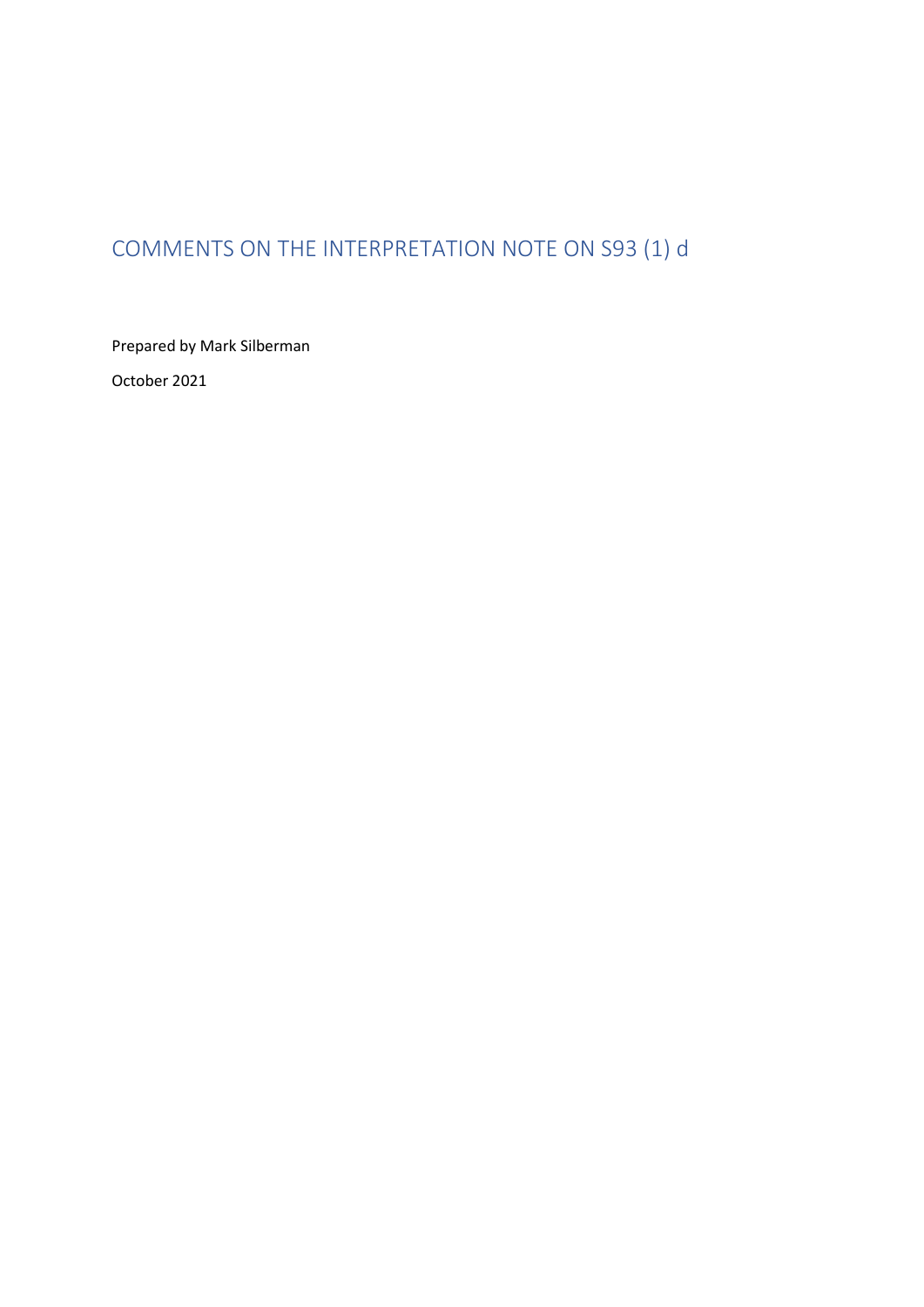# <span id="page-0-0"></span>COMMENTS ON THE INTERPRETATION NOTE ON S93 (1) d

Prepared by Mark Silberman October 2021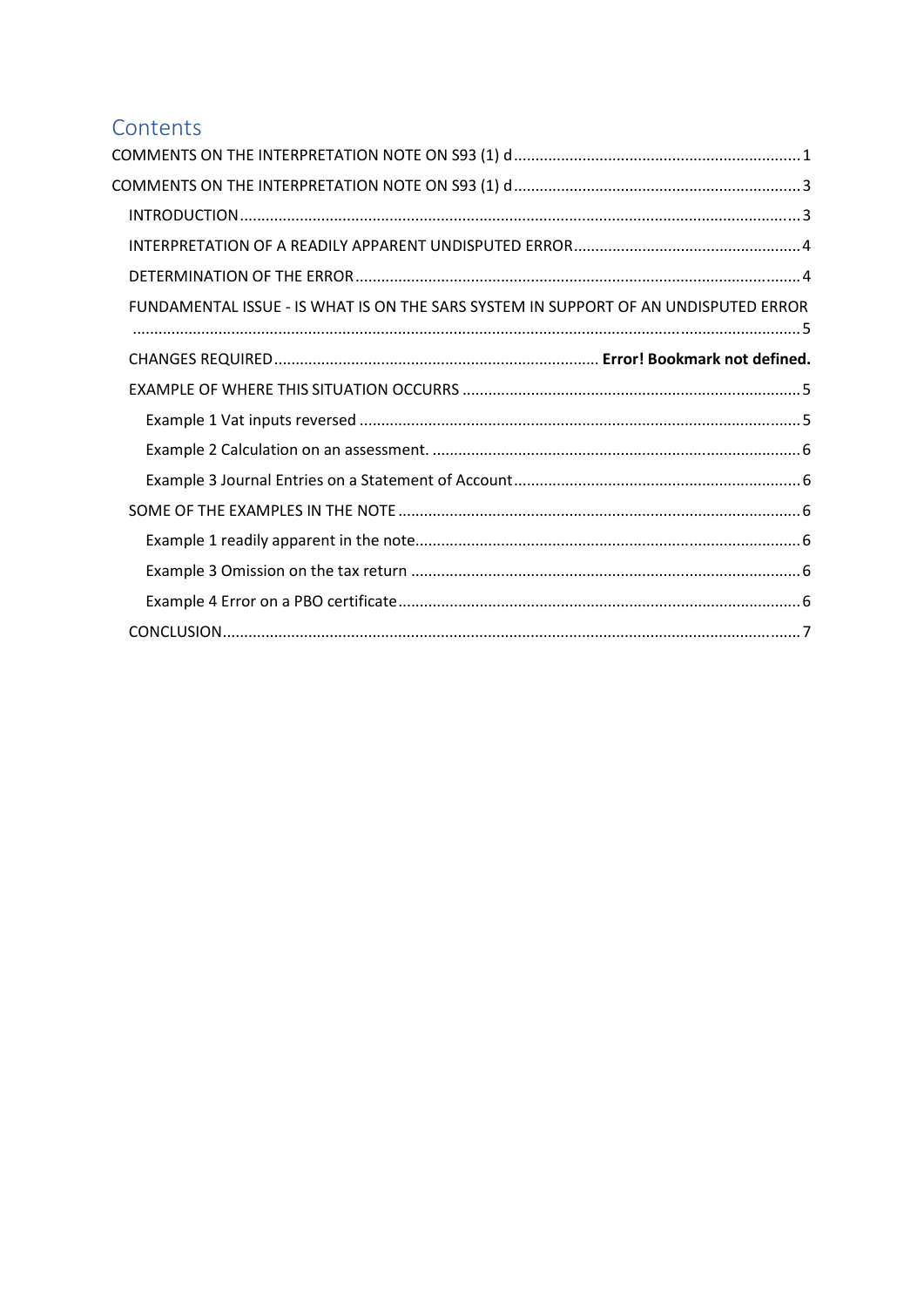## Contents

| FUNDAMENTAL ISSUE - IS WHAT IS ON THE SARS SYSTEM IN SUPPORT OF AN UNDISPUTED ERROR |
|-------------------------------------------------------------------------------------|
|                                                                                     |
|                                                                                     |
|                                                                                     |
|                                                                                     |
|                                                                                     |
|                                                                                     |
|                                                                                     |
|                                                                                     |
|                                                                                     |
|                                                                                     |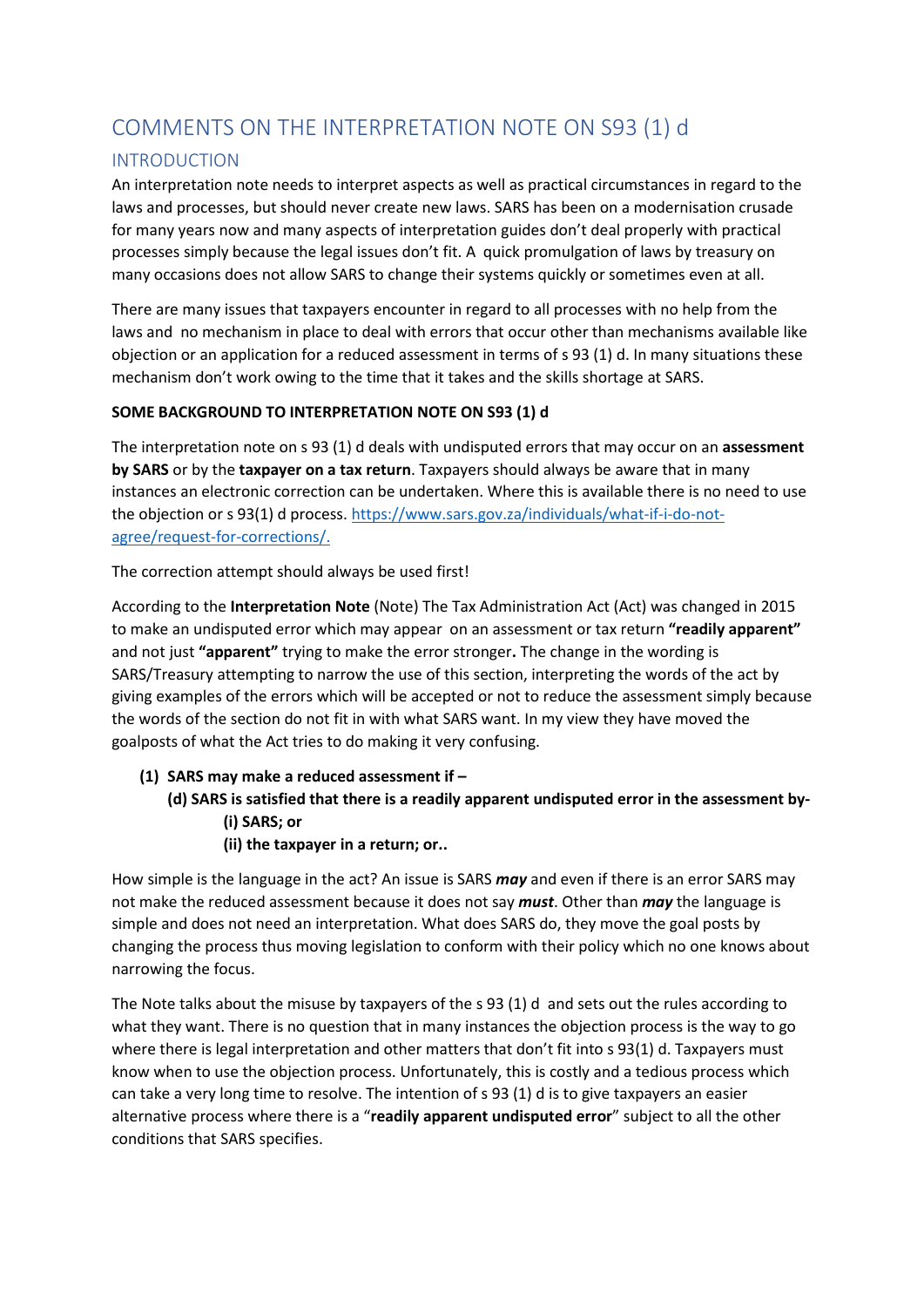## <span id="page-2-0"></span>COMMENTS ON THE INTERPRETATION NOTE ON S93 (1) d

## <span id="page-2-1"></span>INTRODUCTION

An interpretation note needs to interpret aspects as well as practical circumstances in regard to the laws and processes, but should never create new laws. SARS has been on a modernisation crusade for many years now and many aspects of interpretation guides don't deal properly with practical processes simply because the legal issues don't fit. A quick promulgation of laws by treasury on many occasions does not allow SARS to change their systems quickly or sometimes even at all.

There are many issues that taxpayers encounter in regard to all processes with no help from the laws and no mechanism in place to deal with errors that occur other than mechanisms available like objection or an application for a reduced assessment in terms of s 93 (1) d. In many situations these mechanism don't work owing to the time that it takes and the skills shortage at SARS.

## **SOME BACKGROUND TO INTERPRETATION NOTE ON S93 (1) d**

The interpretation note on s 93 (1) d deals with undisputed errors that may occur on an **assessment by SARS** or by the **taxpayer on a tax return**. Taxpayers should always be aware that in many instances an electronic correction can be undertaken. Where this is available there is no need to use the objection or s 93(1) d process[. https://www.sars.gov.za/individuals/what-if-i-do-not](https://www.sars.gov.za/individuals/what-if-i-do-not-agree/request-for-corrections/)[agree/request-for-corrections/.](https://www.sars.gov.za/individuals/what-if-i-do-not-agree/request-for-corrections/)

The correction attempt should always be used first!

According to the **Interpretation Note** (Note) The Tax Administration Act (Act) was changed in 2015 to make an undisputed error which may appear on an assessment or tax return **"readily apparent"** and not just **"apparent"** trying to make the error stronger**.** The change in the wording is SARS/Treasury attempting to narrow the use of this section, interpreting the words of the act by giving examples of the errors which will be accepted or not to reduce the assessment simply because the words of the section do not fit in with what SARS want. In my view they have moved the goalposts of what the Act tries to do making it very confusing.

- **(1) SARS may make a reduced assessment if** 
	- **(d) SARS is satisfied that there is a readily apparent undisputed error in the assessment by- (i) SARS; or** 
		- **(ii) the taxpayer in a return; or..**

How simple is the language in the act? An issue is SARS *may* and even if there is an error SARS may not make the reduced assessment because it does not say *must*. Other than *may* the language is simple and does not need an interpretation. What does SARS do, they move the goal posts by changing the process thus moving legislation to conform with their policy which no one knows about narrowing the focus.

The Note talks about the misuse by taxpayers of the s 93 (1) d and sets out the rules according to what they want. There is no question that in many instances the objection process is the way to go where there is legal interpretation and other matters that don't fit into s 93(1) d. Taxpayers must know when to use the objection process. Unfortunately, this is costly and a tedious process which can take a very long time to resolve. The intention of s 93 (1) d is to give taxpayers an easier alternative process where there is a "**readily apparent undisputed error**" subject to all the other conditions that SARS specifies.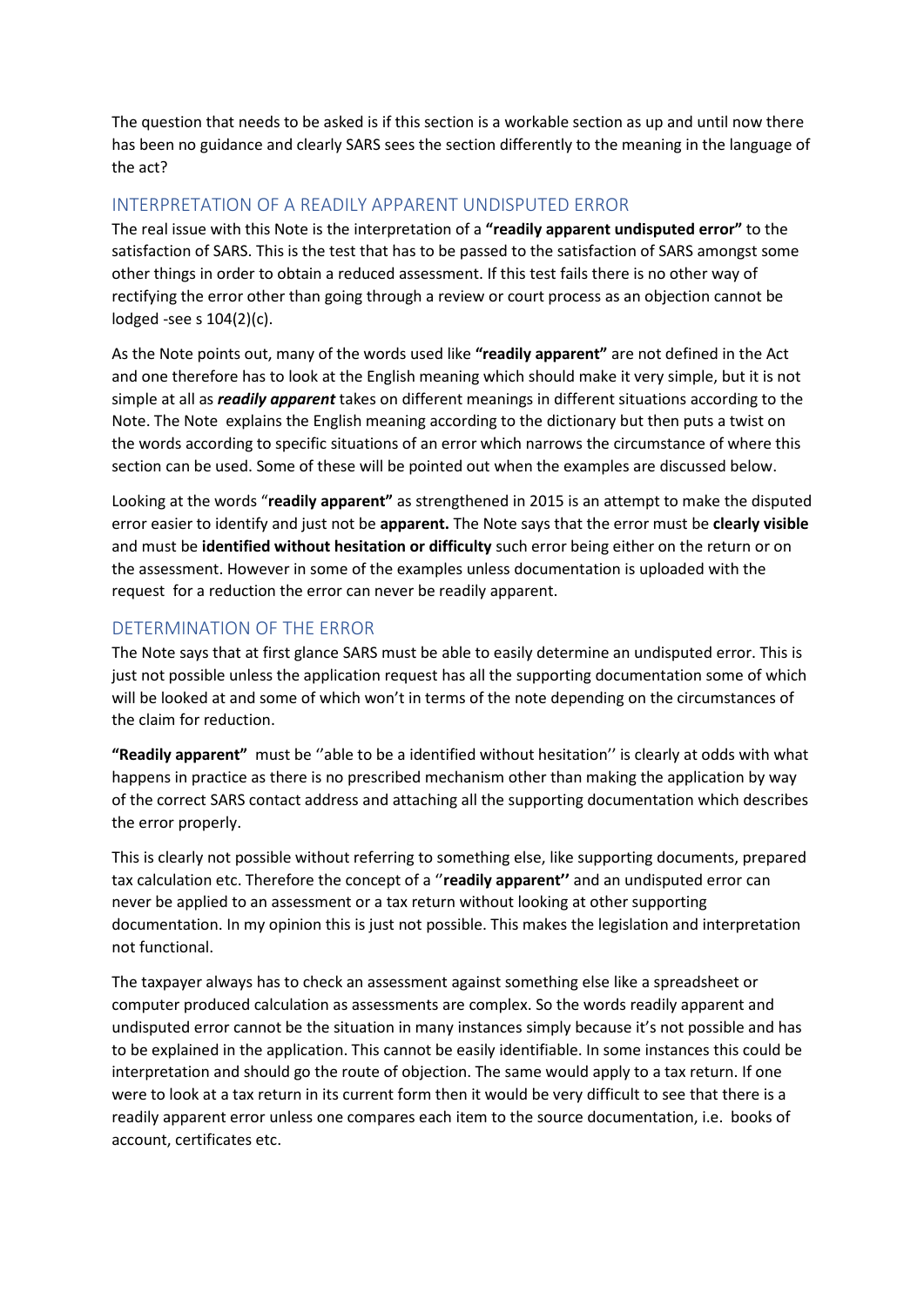The question that needs to be asked is if this section is a workable section as up and until now there has been no guidance and clearly SARS sees the section differently to the meaning in the language of the act?

## <span id="page-3-0"></span>INTERPRETATION OF A READILY APPARENT UNDISPUTED ERROR

The real issue with this Note is the interpretation of a **"readily apparent undisputed error"** to the satisfaction of SARS. This is the test that has to be passed to the satisfaction of SARS amongst some other things in order to obtain a reduced assessment. If this test fails there is no other way of rectifying the error other than going through a review or court process as an objection cannot be lodged -see s 104(2)(c).

As the Note points out, many of the words used like **"readily apparent"** are not defined in the Act and one therefore has to look at the English meaning which should make it very simple, but it is not simple at all as *readily apparent* takes on different meanings in different situations according to the Note. The Note explains the English meaning according to the dictionary but then puts a twist on the words according to specific situations of an error which narrows the circumstance of where this section can be used. Some of these will be pointed out when the examples are discussed below.

Looking at the words "**readily apparent"** as strengthened in 2015 is an attempt to make the disputed error easier to identify and just not be **apparent.** The Note says that the error must be **clearly visible** and must be **identified without hesitation or difficulty** such error being either on the return or on the assessment. However in some of the examples unless documentation is uploaded with the request for a reduction the error can never be readily apparent.

## <span id="page-3-1"></span>DETERMINATION OF THE ERROR

The Note says that at first glance SARS must be able to easily determine an undisputed error. This is just not possible unless the application request has all the supporting documentation some of which will be looked at and some of which won't in terms of the note depending on the circumstances of the claim for reduction.

**"Readily apparent"** must be ''able to be a identified without hesitation'' is clearly at odds with what happens in practice as there is no prescribed mechanism other than making the application by way of the correct SARS contact address and attaching all the supporting documentation which describes the error properly.

This is clearly not possible without referring to something else, like supporting documents, prepared tax calculation etc. Therefore the concept of a ''**readily apparent''** and an undisputed error can never be applied to an assessment or a tax return without looking at other supporting documentation. In my opinion this is just not possible. This makes the legislation and interpretation not functional.

The taxpayer always has to check an assessment against something else like a spreadsheet or computer produced calculation as assessments are complex. So the words readily apparent and undisputed error cannot be the situation in many instances simply because it's not possible and has to be explained in the application. This cannot be easily identifiable. In some instances this could be interpretation and should go the route of objection. The same would apply to a tax return. If one were to look at a tax return in its current form then it would be very difficult to see that there is a readily apparent error unless one compares each item to the source documentation, i.e. books of account, certificates etc.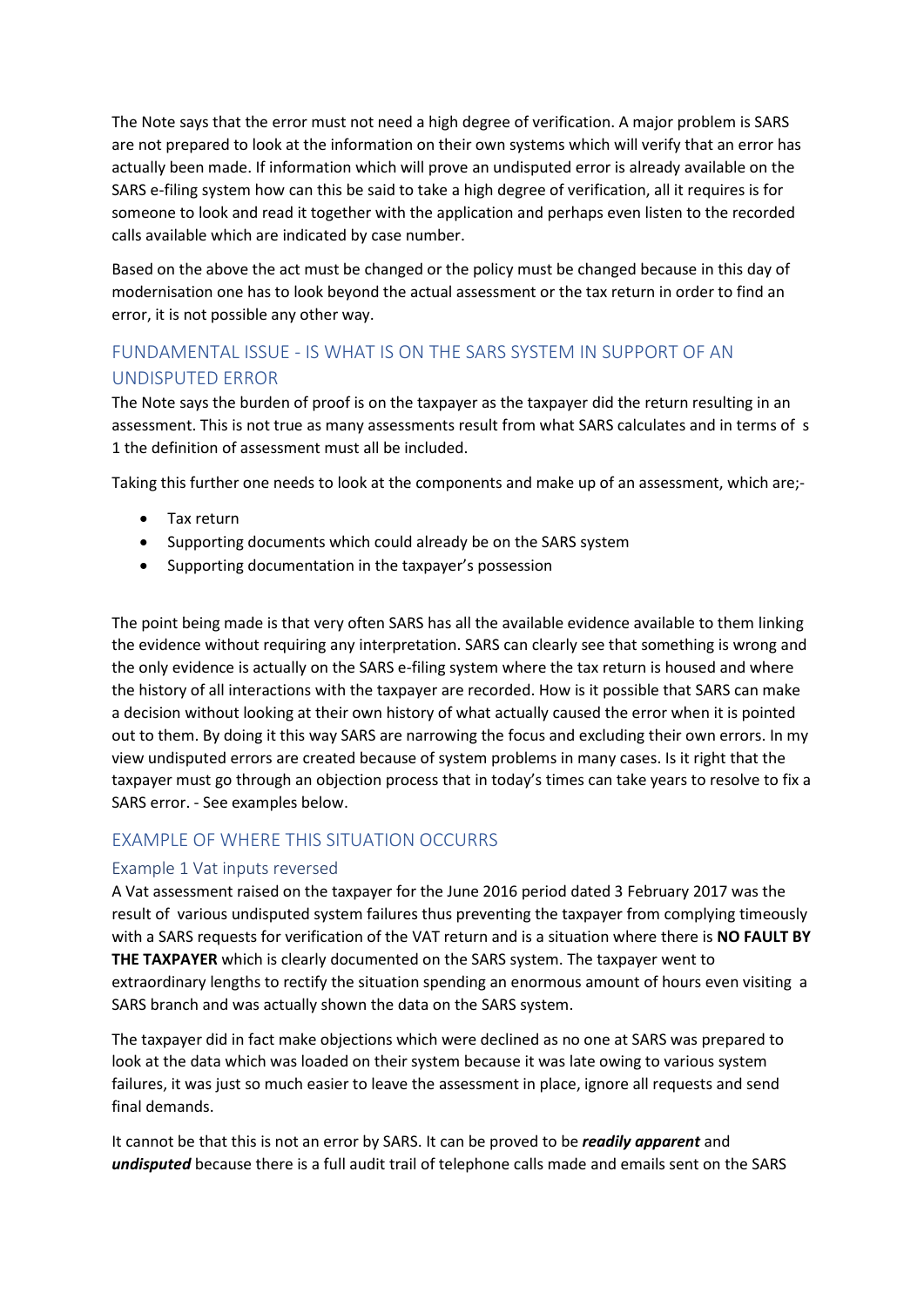The Note says that the error must not need a high degree of verification. A major problem is SARS are not prepared to look at the information on their own systems which will verify that an error has actually been made. If information which will prove an undisputed error is already available on the SARS e-filing system how can this be said to take a high degree of verification, all it requires is for someone to look and read it together with the application and perhaps even listen to the recorded calls available which are indicated by case number.

Based on the above the act must be changed or the policy must be changed because in this day of modernisation one has to look beyond the actual assessment or the tax return in order to find an error, it is not possible any other way.

## <span id="page-4-0"></span>FUNDAMENTAL ISSUE - IS WHAT IS ON THE SARS SYSTEM IN SUPPORT OF AN UNDISPUTED ERROR

The Note says the burden of proof is on the taxpayer as the taxpayer did the return resulting in an assessment. This is not true as many assessments result from what SARS calculates and in terms of s 1 the definition of assessment must all be included.

Taking this further one needs to look at the components and make up of an assessment, which are;-

- Tax return
- Supporting documents which could already be on the SARS system
- Supporting documentation in the taxpayer's possession

The point being made is that very often SARS has all the available evidence available to them linking the evidence without requiring any interpretation. SARS can clearly see that something is wrong and the only evidence is actually on the SARS e-filing system where the tax return is housed and where the history of all interactions with the taxpayer are recorded. How is it possible that SARS can make a decision without looking at their own history of what actually caused the error when it is pointed out to them. By doing it this way SARS are narrowing the focus and excluding their own errors. In my view undisputed errors are created because of system problems in many cases. Is it right that the taxpayer must go through an objection process that in today's times can take years to resolve to fix a SARS error. - See examples below.

### <span id="page-4-1"></span>EXAMPLE OF WHERE THIS SITUATION OCCURRS

#### <span id="page-4-2"></span>Example 1 Vat inputs reversed

A Vat assessment raised on the taxpayer for the June 2016 period dated 3 February 2017 was the result of various undisputed system failures thus preventing the taxpayer from complying timeously with a SARS requests for verification of the VAT return and is a situation where there is **NO FAULT BY THE TAXPAYER** which is clearly documented on the SARS system. The taxpayer went to extraordinary lengths to rectify the situation spending an enormous amount of hours even visiting a SARS branch and was actually shown the data on the SARS system.

The taxpayer did in fact make objections which were declined as no one at SARS was prepared to look at the data which was loaded on their system because it was late owing to various system failures, it was just so much easier to leave the assessment in place, ignore all requests and send final demands.

It cannot be that this is not an error by SARS. It can be proved to be *readily apparent* and *undisputed* because there is a full audit trail of telephone calls made and emails sent on the SARS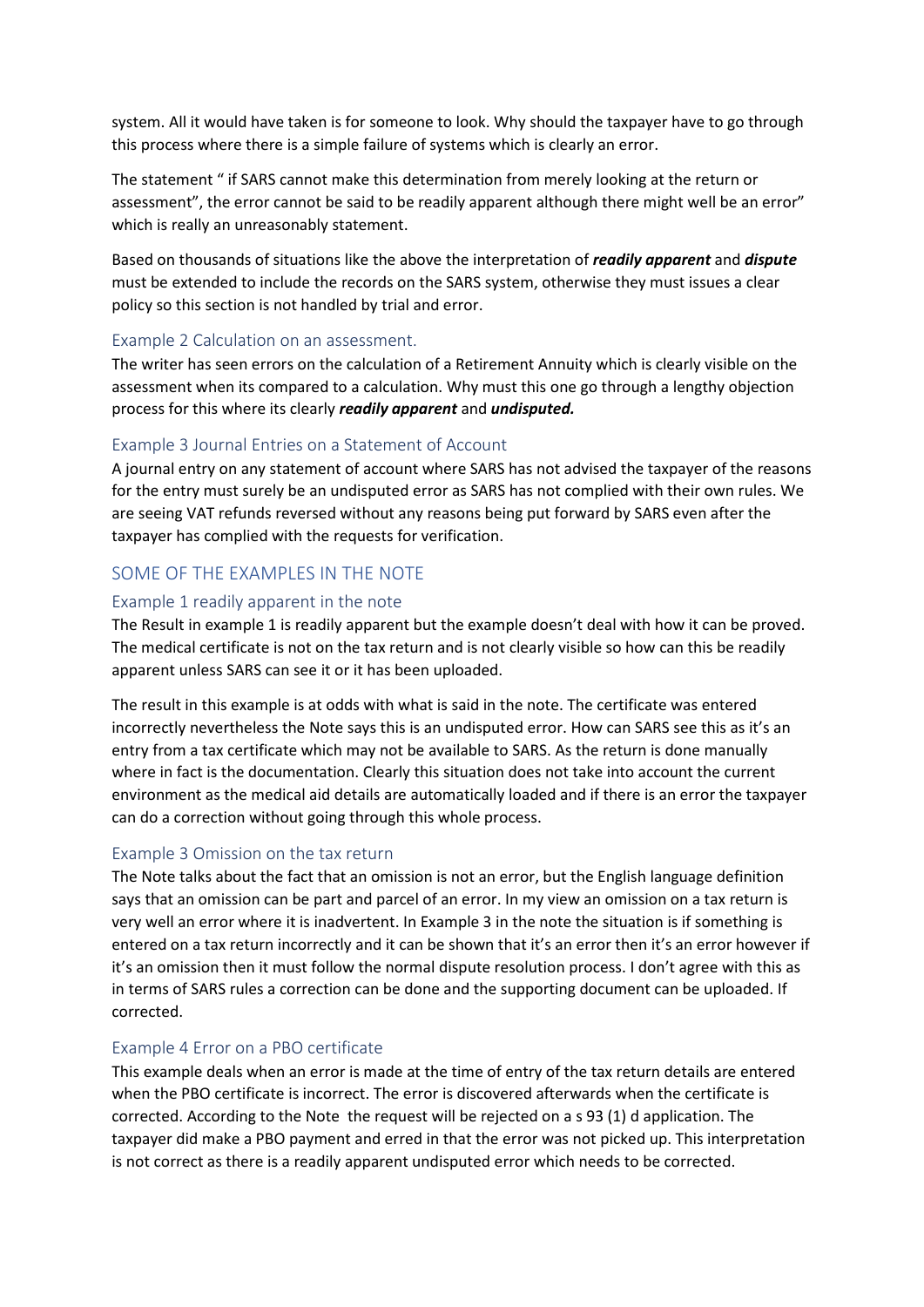system. All it would have taken is for someone to look. Why should the taxpayer have to go through this process where there is a simple failure of systems which is clearly an error.

The statement " if SARS cannot make this determination from merely looking at the return or assessment", the error cannot be said to be readily apparent although there might well be an error" which is really an unreasonably statement.

Based on thousands of situations like the above the interpretation of *readily apparent* and *dispute* must be extended to include the records on the SARS system, otherwise they must issues a clear policy so this section is not handled by trial and error.

#### <span id="page-5-0"></span>Example 2 Calculation on an assessment.

The writer has seen errors on the calculation of a Retirement Annuity which is clearly visible on the assessment when its compared to a calculation. Why must this one go through a lengthy objection process for this where its clearly *readily apparent* and *undisputed.* 

### <span id="page-5-1"></span>Example 3 Journal Entries on a Statement of Account

A journal entry on any statement of account where SARS has not advised the taxpayer of the reasons for the entry must surely be an undisputed error as SARS has not complied with their own rules. We are seeing VAT refunds reversed without any reasons being put forward by SARS even after the taxpayer has complied with the requests for verification.

## <span id="page-5-2"></span>SOME OF THE EXAMPLES IN THE NOTE

#### <span id="page-5-3"></span>Example 1 readily apparent in the note

The Result in example 1 is readily apparent but the example doesn't deal with how it can be proved. The medical certificate is not on the tax return and is not clearly visible so how can this be readily apparent unless SARS can see it or it has been uploaded.

The result in this example is at odds with what is said in the note. The certificate was entered incorrectly nevertheless the Note says this is an undisputed error. How can SARS see this as it's an entry from a tax certificate which may not be available to SARS. As the return is done manually where in fact is the documentation. Clearly this situation does not take into account the current environment as the medical aid details are automatically loaded and if there is an error the taxpayer can do a correction without going through this whole process.

#### <span id="page-5-4"></span>Example 3 Omission on the tax return

The Note talks about the fact that an omission is not an error, but the English language definition says that an omission can be part and parcel of an error. In my view an omission on a tax return is very well an error where it is inadvertent. In Example 3 in the note the situation is if something is entered on a tax return incorrectly and it can be shown that it's an error then it's an error however if it's an omission then it must follow the normal dispute resolution process. I don't agree with this as in terms of SARS rules a correction can be done and the supporting document can be uploaded. If corrected.

#### <span id="page-5-5"></span>Example 4 Error on a PBO certificate

This example deals when an error is made at the time of entry of the tax return details are entered when the PBO certificate is incorrect. The error is discovered afterwards when the certificate is corrected. According to the Note the request will be rejected on a s 93 (1) d application. The taxpayer did make a PBO payment and erred in that the error was not picked up. This interpretation is not correct as there is a readily apparent undisputed error which needs to be corrected.